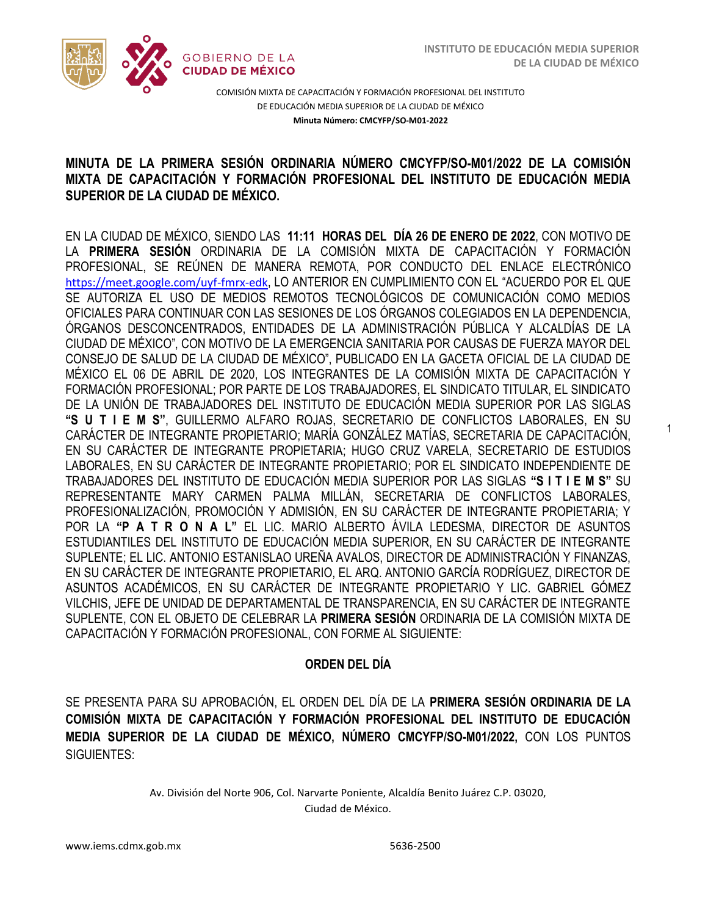1



COMISIÓN MIXTA DE CAPACITACIÓN Y FORMACIÓN PROFESIONAL DEL INSTITUTO DE EDUCACIÓN MEDIA SUPERIOR DE LA CIUDAD DE MÉXICO **Minuta Número: CMCYFP/SO-M01-2022**

## /2020 **MINUTA DE LA PRIMERA SESIÓN ORDINARIA NÚMERO CMCYFP/SO-M01/2022 DE LA COMISIÓN MIXTA DE CAPACITACIÓN Y FORMACIÓN PROFESIONAL DEL INSTITUTO DE EDUCACIÓN MEDIA SUPERIOR DE LA CIUDAD DE MÉXICO.**

EN LA CIUDAD DE MÉXICO, SIENDO LAS **11:11 HORAS DEL DÍA 26 DE ENERO DE 2022**, CON MOTIVO DE LA **PRIMERA SESIÓN** ORDINARIA DE LA COMISIÓN MIXTA DE CAPACITACIÓN Y FORMACIÓN PROFESIONAL, SE REÚNEN DE MANERA REMOTA, POR CONDUCTO DEL ENLACE ELECTRÓNICO <https://meet.google.com/uyf-fmrx-edk>, LO ANTERIOR EN CUMPLIMIENTO CON EL "ACUERDO POR EL QUE SE AUTORIZA EL USO DE MEDIOS REMOTOS TECNOLÓGICOS DE COMUNICACIÓN COMO MEDIOS OFICIALES PARA CONTINUAR CON LAS SESIONES DE LOS ÓRGANOS COLEGIADOS EN LA DEPENDENCIA, ÓRGANOS DESCONCENTRADOS, ENTIDADES DE LA ADMINISTRACIÓN PÚBLICA Y ALCALDÍAS DE LA CIUDAD DE MÉXICO", CON MOTIVO DE LA EMERGENCIA SANITARIA POR CAUSAS DE FUERZA MAYOR DEL CONSEJO DE SALUD DE LA CIUDAD DE MÉXICO", PUBLICADO EN LA GACETA OFICIAL DE LA CIUDAD DE MÉXICO EL 06 DE ABRIL DE 2020, LOS INTEGRANTES DE LA COMISIÓN MIXTA DE CAPACITACIÓN Y FORMACIÓN PROFESIONAL; POR PARTE DE LOS TRABAJADORES, EL SINDICATO TITULAR, EL SINDICATO DE LA UNIÓN DE TRABAJADORES DEL INSTITUTO DE EDUCACIÓN MEDIA SUPERIOR POR LAS SIGLAS **"S U T I E M S"**, GUILLERMO ALFARO ROJAS, SECRETARIO DE CONFLICTOS LABORALES, EN SU CARÁCTER DE INTEGRANTE PROPIETARIO; MARÍA GONZÁLEZ MATÍAS, SECRETARIA DE CAPACITACIÓN, EN SU CARÁCTER DE INTEGRANTE PROPIETARIA; HUGO CRUZ VARELA, SECRETARIO DE ESTUDIOS LABORALES, EN SU CARÁCTER DE INTEGRANTE PROPIETARIO; POR EL SINDICATO INDEPENDIENTE DE TRABAJADORES DEL INSTITUTO DE EDUCACIÓN MEDIA SUPERIOR POR LAS SIGLAS **"S I T I E M S"** SU REPRESENTANTE MARY CARMEN PALMA MILLÁN, SECRETARIA DE CONFLICTOS LABORALES, PROFESIONALIZACIÓN, PROMOCIÓN Y ADMISIÓN, EN SU CARÁCTER DE INTEGRANTE PROPIETARIA; Y POR LA **"P A T R O N A L"** EL LIC. MARIO ALBERTO ÁVILA LEDESMA, DIRECTOR DE ASUNTOS ESTUDIANTILES DEL INSTITUTO DE EDUCACIÓN MEDIA SUPERIOR, EN SU CARÁCTER DE INTEGRANTE SUPLENTE; EL LIC. ANTONIO ESTANISLAO UREÑA AVALOS, DIRECTOR DE ADMINISTRACIÓN Y FINANZAS, EN SU CARÁCTER DE INTEGRANTE PROPIETARIO, EL ARQ. ANTONIO GARCÍA RODRÍGUEZ, DIRECTOR DE ASUNTOS ACADÉMICOS, EN SU CARÁCTER DE INTEGRANTE PROPIETARIO Y LIC. GABRIEL GÓMEZ VILCHIS, JEFE DE UNIDAD DE DEPARTAMENTAL DE TRANSPARENCIA, EN SU CARÁCTER DE INTEGRANTE SUPLENTE, CON EL OBJETO DE CELEBRAR LA **PRIMERA SESIÓN** ORDINARIA DE LA COMISIÓN MIXTA DE CAPACITACIÓN Y FORMACIÓN PROFESIONAL, CON FORME AL SIGUIENTE:

### **ORDEN DEL DÍA**

SE PRESENTA PARA SU APROBACIÓN, EL ORDEN DEL DÍA DE LA **PRIMERA SESIÓN ORDINARIA DE LA COMISIÓN MIXTA DE CAPACITACIÓN Y FORMACIÓN PROFESIONAL DEL INSTITUTO DE EDUCACIÓN MEDIA SUPERIOR DE LA CIUDAD DE MÉXICO, NÚMERO CMCYFP/SO-M01/2022,** CON LOS PUNTOS SIGUIENTES: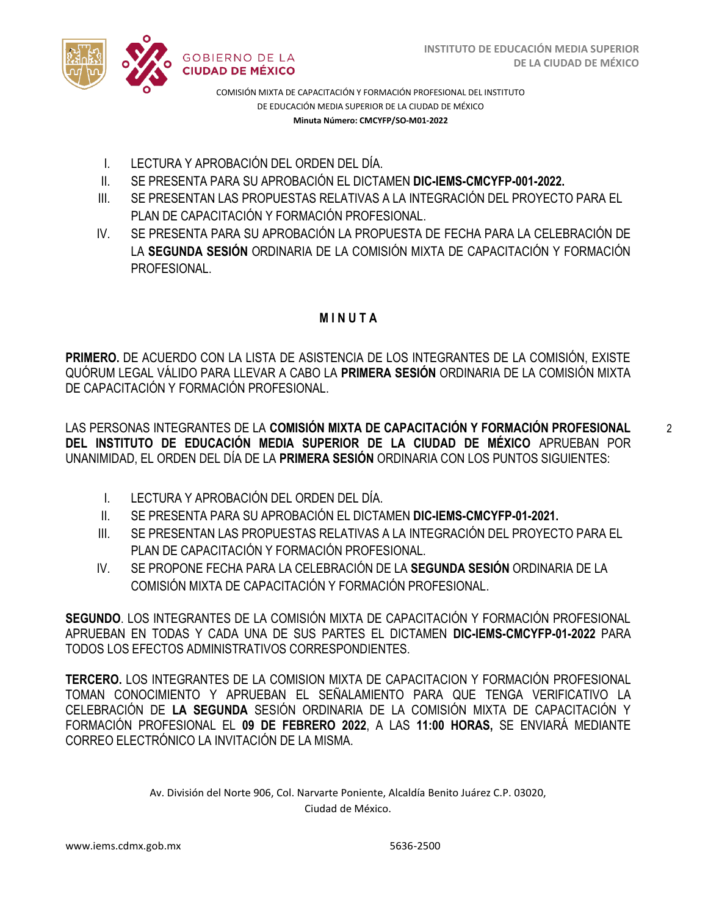

- I. LECTURA Y APROBACIÓN DEL ORDEN DEL DÍA.
- II. SE PRESENTA PARA SU APROBACIÓN EL DICTAMEN **DIC-IEMS-CMCYFP-001-2022.**
- III. SE PRESENTAN LAS PROPUESTAS RELATIVAS A LA INTEGRACIÓN DEL PROYECTO PARA EL PLAN DE CAPACITACIÓN Y FORMACIÓN PROFESIONAL.
- IV. SE PRESENTA PARA SU APROBACIÓN LA PROPUESTA DE FECHA PARA LA CELEBRACIÓN DE LA **SEGUNDA SESIÓN** ORDINARIA DE LA COMISIÓN MIXTA DE CAPACITACIÓN Y FORMACIÓN PROFESIONAL.

## **M I N U T A**

**PRIMERO.** DE ACUERDO CON LA LISTA DE ASISTENCIA DE LOS INTEGRANTES DE LA COMISIÓN, EXISTE QUÓRUM LEGAL VÁLIDO PARA LLEVAR A CABO LA **PRIMERA SESIÓN** ORDINARIA DE LA COMISIÓN MIXTA DE CAPACITACIÓN Y FORMACIÓN PROFESIONAL.

LAS PERSONAS INTEGRANTES DE LA **COMISIÓN MIXTA DE CAPACITACIÓN Y FORMACIÓN PROFESIONAL DEL INSTITUTO DE EDUCACIÓN MEDIA SUPERIOR DE LA CIUDAD DE MÉXICO** APRUEBAN POR UNANIMIDAD, EL ORDEN DEL DÍA DE LA **PRIMERA SESIÓN** ORDINARIA CON LOS PUNTOS SIGUIENTES:

- I. LECTURA Y APROBACIÓN DEL ORDEN DEL DÍA.
- II. SE PRESENTA PARA SU APROBACIÓN EL DICTAMEN **DIC-IEMS-CMCYFP-01-2021.**
- III. SE PRESENTAN LAS PROPUESTAS RELATIVAS A LA INTEGRACIÓN DEL PROYECTO PARA EL PLAN DE CAPACITACIÓN Y FORMACIÓN PROFESIONAL.
- IV. SE PROPONE FECHA PARA LA CELEBRACIÓN DE LA **SEGUNDA SESIÓN** ORDINARIA DE LA COMISIÓN MIXTA DE CAPACITACIÓN Y FORMACIÓN PROFESIONAL.

**SEGUNDO**. LOS INTEGRANTES DE LA COMISIÓN MIXTA DE CAPACITACIÓN Y FORMACIÓN PROFESIONAL APRUEBAN EN TODAS Y CADA UNA DE SUS PARTES EL DICTAMEN **DIC-IEMS-CMCYFP-01-2022** PARA TODOS LOS EFECTOS ADMINISTRATIVOS CORRESPONDIENTES.

**TERCERO.** LOS INTEGRANTES DE LA COMISION MIXTA DE CAPACITACION Y FORMACIÓN PROFESIONAL TOMAN CONOCIMIENTO Y APRUEBAN EL SEÑALAMIENTO PARA QUE TENGA VERIFICATIVO LA CELEBRACIÓN DE **LA SEGUNDA** SESIÓN ORDINARIA DE LA COMISIÓN MIXTA DE CAPACITACIÓN Y FORMACIÓN PROFESIONAL EL **09 DE FEBRERO 2022**, A LAS **11:00 HORAS,** SE ENVIARÁ MEDIANTE CORREO ELECTRÓNICO LA INVITACIÓN DE LA MISMA.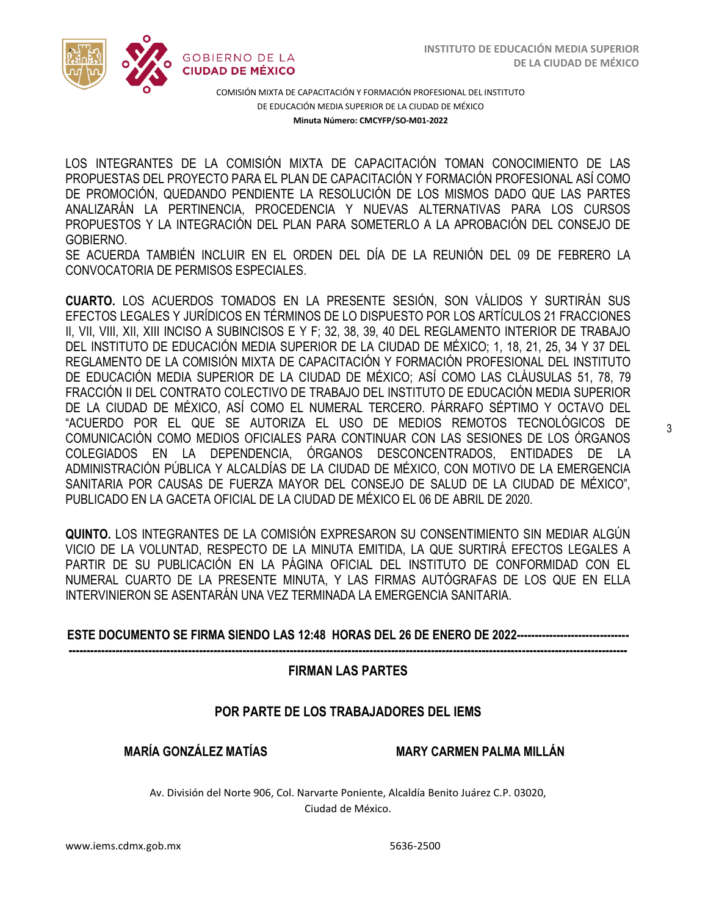

LOS INTEGRANTES DE LA COMISIÓN MIXTA DE CAPACITACIÓN TOMAN CONOCIMIENTO DE LAS  PROPUESTAS DEL PROYECTO PARA EL PLAN DE CAPACITACIÓN Y FORMACIÓN PROFESIONAL ASÍ COMO DE PROMOCIÓN, QUEDANDO PENDIENTE LA RESOLUCIÓN DE LOS MISMOS DADO QUE LAS PARTES ANALIZARÁN LA PERTINENCIA, PROCEDENCIA Y NUEVAS ALTERNATIVAS PARA LOS CURSOS PROPUESTOS Y LA INTEGRACIÓN DEL PLAN PARA SOMETERLO A LA APROBACIÓN DEL CONSEJO DE GOBIERNO.

SE ACUERDA TAMBIÉN INCLUIR EN EL ORDEN DEL DÍA DE LA REUNIÓN DEL 09 DE FEBRERO LA CONVOCATORIA DE PERMISOS ESPECIALES.

**CUARTO.** LOS ACUERDOS TOMADOS EN LA PRESENTE SESIÓN, SON VÁLIDOS Y SURTIRÁN SUS EFECTOS LEGALES Y JURÍDICOS EN TÉRMINOS DE LO DISPUESTO POR LOS ARTÍCULOS 21 FRACCIONES II, VII, VIII, XII, XIII INCISO A SUBINCISOS E Y F; 32, 38, 39, 40 DEL REGLAMENTO INTERIOR DE TRABAJO DEL INSTITUTO DE EDUCACIÓN MEDIA SUPERIOR DE LA CIUDAD DE MÉXICO; 1, 18, 21, 25, 34 Y 37 DEL REGLAMENTO DE LA COMISIÓN MIXTA DE CAPACITACIÓN Y FORMACIÓN PROFESIONAL DEL INSTITUTO DE EDUCACIÓN MEDIA SUPERIOR DE LA CIUDAD DE MÉXICO; ASÍ COMO LAS CLÁUSULAS 51, 78, 79 FRACCIÓN II DEL CONTRATO COLECTIVO DE TRABAJO DEL INSTITUTO DE EDUCACIÓN MEDIA SUPERIOR DE LA CIUDAD DE MÉXICO, ASÍ COMO EL NUMERAL TERCERO. PÁRRAFO SÉPTIMO Y OCTAVO DEL "ACUERDO POR EL QUE SE AUTORIZA EL USO DE MEDIOS REMOTOS TECNOLÓGICOS DE COMUNICACIÓN COMO MEDIOS OFICIALES PARA CONTINUAR CON LAS SESIONES DE LOS ÓRGANOS COLEGIADOS EN LA DEPENDENCIA, ÓRGANOS DESCONCENTRADOS, ENTIDADES DE LA ADMINISTRACIÓN PÚBLICA Y ALCALDÍAS DE LA CIUDAD DE MÉXICO, CON MOTIVO DE LA EMERGENCIA SANITARIA POR CAUSAS DE FUERZA MAYOR DEL CONSEJO DE SALUD DE LA CIUDAD DE MÉXICO", PUBLICADO EN LA GACETA OFICIAL DE LA CIUDAD DE MÉXICO EL 06 DE ABRIL DE 2020.

**QUINTO.** LOS INTEGRANTES DE LA COMISIÓN EXPRESARON SU CONSENTIMIENTO SIN MEDIAR ALGÚN VICIO DE LA VOLUNTAD, RESPECTO DE LA MINUTA EMITIDA, LA QUE SURTIRÁ EFECTOS LEGALES A PARTIR DE SU PUBLICACIÓN EN LA PÁGINA OFICIAL DEL INSTITUTO DE CONFORMIDAD CON EL NUMERAL CUARTO DE LA PRESENTE MINUTA, Y LAS FIRMAS AUTÓGRAFAS DE LOS QUE EN ELLA INTERVINIERON SE ASENTARÁN UNA VEZ TERMINADA LA EMERGENCIA SANITARIA.

### **ESTE DOCUMENTO SE FIRMA SIENDO LAS 12:48 HORAS DEL 26 DE ENERO DE 2022-------------------------------**

**----------------------------------------------------------------------------------------------------------------------------------------------------------**

#### **FIRMAN LAS PARTES**

### **POR PARTE DE LOS TRABAJADORES DEL IEMS**

#### **MARÍA GONZÁLEZ MATÍAS MARY CARMEN PALMA MILLÁN**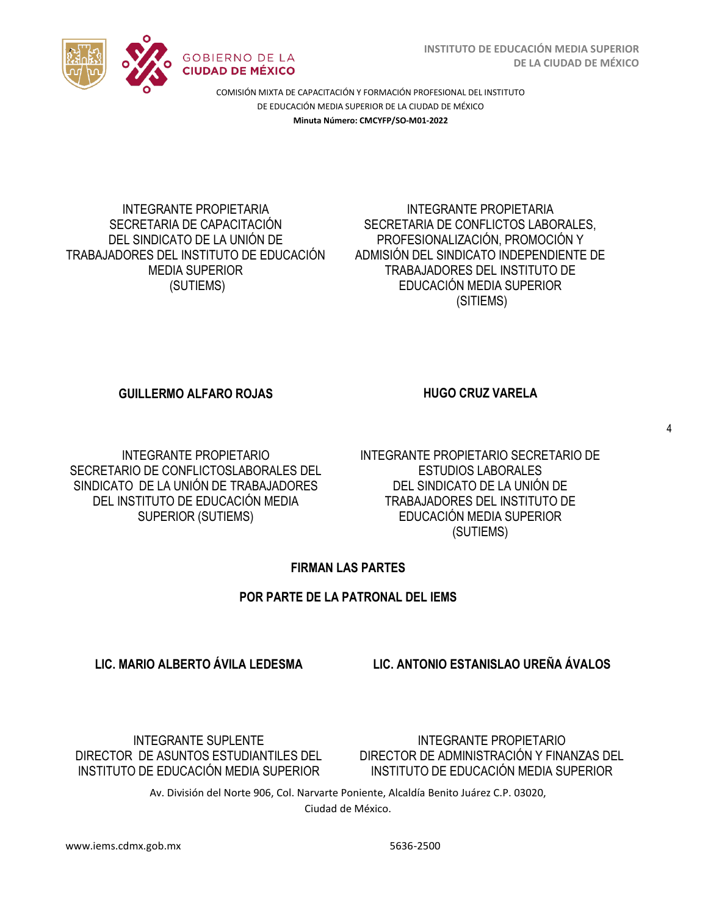

#### INTEGRANTE PROPIETARIA SECRETARIA DE CAPACITACIÓN DEL SINDICATO DE LA UNIÓN DE TRABAJADORES DEL INSTITUTO DE EDUCACIÓN MEDIA SUPERIOR (SUTIEMS)

### INTEGRANTE PROPIETARIA SECRETARIA DE CONFLICTOS LABORALES, PROFESIONALIZACIÓN, PROMOCIÓN Y ADMISIÓN DEL SINDICATO INDEPENDIENTE DE TRABAJADORES DEL INSTITUTO DE EDUCACIÓN MEDIA SUPERIOR (SITIEMS)

## **GUILLERMO ALFARO ROJAS HUGO CRUZ VARELA**

4

INTEGRANTE PROPIETARIO SECRETARIO DE CONFLICTOSLABORALES DEL SINDICATO DE LA UNIÓN DE TRABAJADORES DEL INSTITUTO DE EDUCACIÓN MEDIA SUPERIOR (SUTIEMS)

INTEGRANTE PROPIETARIO SECRETARIO DE ESTUDIOS LABORALES DEL SINDICATO DE LA UNIÓN DE TRABAJADORES DEL INSTITUTO DE EDUCACIÓN MEDIA SUPERIOR (SUTIEMS)

# **FIRMAN LAS PARTES**

# **POR PARTE DE LA PATRONAL DEL IEMS**

# **LIC. MARIO ALBERTO ÁVILA LEDESMA LIC. ANTONIO ESTANISLAO UREÑA ÁVALOS**

INTEGRANTE SUPLENTE DIRECTOR DE ASUNTOS ESTUDIANTILES DEL INSTITUTO DE EDUCACIÓN MEDIA SUPERIOR

INTEGRANTE PROPIETARIO DIRECTOR DE ADMINISTRACIÓN Y FINANZAS DEL INSTITUTO DE EDUCACIÓN MEDIA SUPERIOR